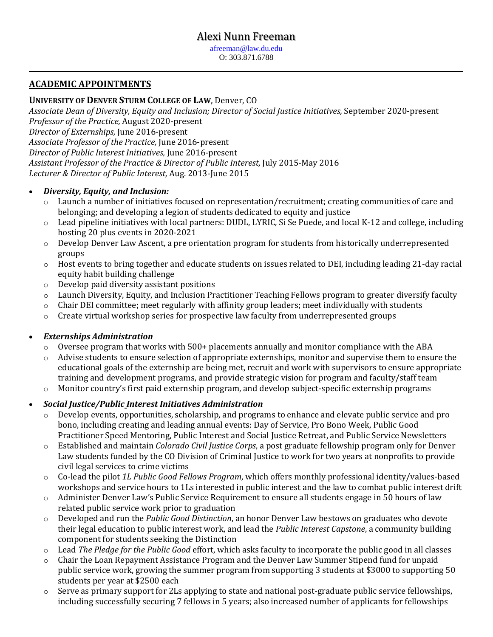# Alexi Nunn Freeman

[afreeman@law.du.edu](mailto:afreeman@law.du.edu) O: 303.871.6788

 **\_\_\_\_\_\_\_\_\_\_\_\_\_\_\_\_\_\_\_\_\_\_\_\_\_\_\_\_\_\_\_\_\_\_\_\_\_\_\_\_\_\_\_\_\_\_\_\_\_\_\_\_\_\_\_\_\_\_\_\_\_\_\_\_\_\_\_\_\_\_\_\_\_\_\_\_\_\_\_\_\_\_\_\_\_\_\_\_\_\_\_\_\_\_\_ \_**

### **ACADEMIC APPOINTMENTS**

### **UNIVERSITY OF DENVER STURM COLLEGE OF LAW**, Denver, CO

*Associate Dean of Diversity, Equity and Inclusion; Director of Social Justice Initiatives,* September 2020-present *Professor of the Practice,* August 2020-present *Director of Externships,* June 2016-present *Associate Professor of the Practice,* June 2016-present *Director of Public Interest Initiatives,* June 2016-present *Assistant Professor of the Practice & Director of Public Interest,* July 2015-May 2016 *Lecturer & Director of Public Interest,* Aug. 2013-June 2015

#### *Diversity, Equity, and Inclusion:*

- o Launch a number of initiatives focused on representation/recruitment; creating communities of care and belonging; and developing a legion of students dedicated to equity and justice
- $\circ$  Lead pipeline initiatives with local partners: DUDL, LYRIC, Si Se Puede, and local K-12 and college, including hosting 20 plus events in 2020-2021
- Develop Denver Law Ascent, a pre orientation program for students from historically underrepresented groups
- o Host events to bring together and educate students on issues related to DEI, including leading 21-day racial equity habit building challenge
- o Develop paid diversity assistant positions
- o Launch Diversity, Equity, and Inclusion Practitioner Teaching Fellows program to greater diversify faculty
- o Chair DEI committee; meet regularly with affinity group leaders; meet individually with students
- $\circ$  Create virtual workshop series for prospective law faculty from underrepresented groups

#### *Externships Administration*

- $\circ$  Oversee program that works with 500+ placements annually and monitor compliance with the ABA
- o Advise students to ensure selection of appropriate externships, monitor and supervise them to ensure the educational goals of the externship are being met, recruit and work with supervisors to ensure appropriate training and development programs, and provide strategic vision for program and faculty/staff team
- $\circ$  Monitor country's first paid externship program, and develop subject-specific externship programs

#### *Social Justice/Public Interest Initiatives Administration*

- o Develop events, opportunities, scholarship, and programs to enhance and elevate public service and pro bono, including creating and leading annual events: Day of Service, Pro Bono Week, Public Good Practitioner Speed Mentoring, Public Interest and Social Justice Retreat, and Public Service Newsletters
- o Established and maintain *Colorado Civil Justice Corps*, a post graduate fellowship program only for Denver Law students funded by the CO Division of Criminal Justice to work for two years at nonprofits to provide civil legal services to crime victims
- o Co-lead the pilot *1L Public Good Fellows Program*, which offers monthly professional identity/values-based workshops and service hours to 1Ls interested in public interest and the law to combat public interest drift
- o Administer Denver Law's Public Service Requirement to ensure all students engage in 50 hours of law related public service work prior to graduation
- o Developed and run the *Public Good Distinction*, an honor Denver Law bestows on graduates who devote their legal education to public interest work, and lead the *Public Interest Capstone*, a community building component for students seeking the Distinction
- o Lead *The Pledge for the Public Good* effort, which asks faculty to incorporate the public good in all classes
- o Chair the Loan Repayment Assistance Program and the Denver Law Summer Stipend fund for unpaid public service work, growing the summer program from supporting 3 students at \$3000 to supporting 50 students per year at \$2500 each
- o Serve as primary support for 2Ls applying to state and national post-graduate public service fellowships, including successfully securing 7 fellows in 5 years; also increased number of applicants for fellowships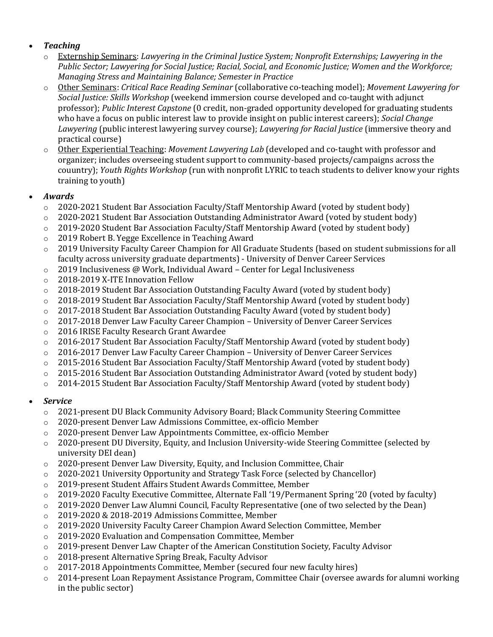### *Teaching*

- o Externship Seminars: *Lawyering in the Criminal Justice System; Nonprofit Externships; Lawyering in the Public Sector; Lawyering for Social Justice; Racial, Social, and Economic Justice; Women and the Workforce; Managing Stress and Maintaining Balance; Semester in Practice*
- o Other Seminars: *Critical Race Reading Seminar* (collaborative co-teaching model); *Movement Lawyering for Social Justice: Skills Workshop* (weekend immersion course developed and co-taught with adjunct professor); *Public Interest Capstone* (0 credit, non-graded opportunity developed for graduating students who have a focus on public interest law to provide insight on public interest careers); *Social Change Lawyering* (public interest lawyering survey course); *Lawyering for Racial Justice* (immersive theory and practical course)
- o Other Experiential Teaching: *Movement Lawyering Lab* (developed and co-taught with professor and organizer; includes overseeing student support to community-based projects/campaigns across the couuntry); *Youth Rights Workshop* (run with nonprofit LYRIC to teach students to deliver know your rights training to youth)

# *Awards*

- o 2020-2021 Student Bar Association Faculty/Staff Mentorship Award (voted by student body)
- $\circ$  2020-2021 Student Bar Association Outstanding Administrator Award (voted by student body)
- $\circ$  2019-2020 Student Bar Association Faculty/Staff Mentorship Award (voted by student body)
- o 2019 Robert B. Yegge Excellence in Teaching Award
- o 2019 University Faculty Career Champion for All Graduate Students (based on student submissions for all faculty across university graduate departments) - University of Denver Career Services
- o 2019 Inclusiveness @ Work, Individual Award Center for Legal Inclusiveness
- o 2018-2019 X-ITE Innovation Fellow
- $\circ$  2018-2019 Student Bar Association Outstanding Faculty Award (voted by student body)
- o 2018-2019 Student Bar Association Faculty/Staff Mentorship Award (voted by student body)
- $\circ$  2017-2018 Student Bar Association Outstanding Faculty Award (voted by student body)
- o 2017-2018 Denver Law Faculty Career Champion University of Denver Career Services
- o 2016 IRISE Faculty Research Grant Awardee
- $\circ$  2016-2017 Student Bar Association Faculty/Staff Mentorship Award (voted by student body)
- o 2016-2017 Denver Law Faculty Career Champion University of Denver Career Services
- o 2015-2016 Student Bar Association Faculty/Staff Mentorship Award (voted by student body)
- $\circ$  2015-2016 Student Bar Association Outstanding Administrator Award (voted by student body)
- o 2014-2015 Student Bar Association Faculty/Staff Mentorship Award (voted by student body)

# *Service*

- o 2021-present DU Black Community Advisory Board; Black Community Steering Committee
- o 2020-present Denver Law Admissions Committee, ex-officio Member
- o 2020-present Denver Law Appointments Committee, ex-officio Member
- o 2020-present DU Diversity, Equity, and Inclusion University-wide Steering Committee (selected by university DEI dean)
- o 2020-present Denver Law Diversity, Equity, and Inclusion Committee, Chair
- o 2020-2021 University Opportunity and Strategy Task Force (selected by Chancellor)
- o 2019-present Student Affairs Student Awards Committee, Member
- o 2019-2020 Faculty Executive Committee, Alternate Fall '19/Permanent Spring '20 (voted by faculty)
- o 2019-2020 Denver Law Alumni Council, Faculty Representative (one of two selected by the Dean)
- o 2019-2020 & 2018-2019 Admissions Committee, Member
- o 2019-2020 University Faculty Career Champion Award Selection Committee, Member
- o 2019-2020 Evaluation and Compensation Committee, Member
- o 2019-present Denver Law Chapter of the American Constitution Society, Faculty Advisor
- o 2018-present Alternative Spring Break, Faculty Advisor
- $\degree$  2017-2018 Appointments Committee, Member (secured four new faculty hires)
- $\circ$  2014-present Loan Repayment Assistance Program, Committee Chair (oversee awards for alumni working in the public sector)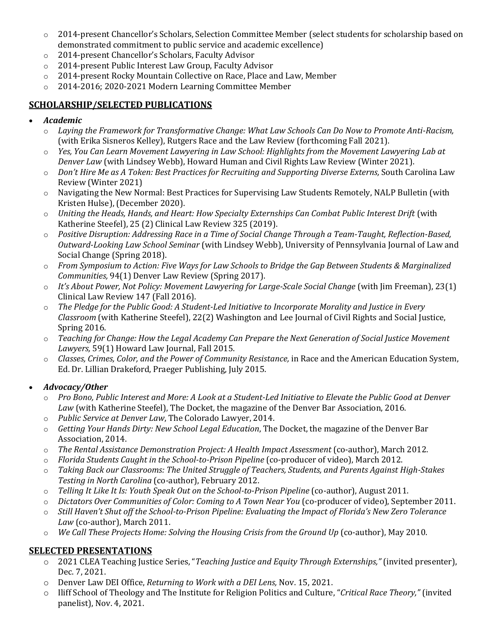- o 2014-present Chancellor's Scholars, Selection Committee Member (select students for scholarship based on demonstrated commitment to public service and academic excellence)
- o 2014-present Chancellor's Scholars, Faculty Advisor
- o 2014-present Public Interest Law Group, Faculty Advisor
- o 2014-present Rocky Mountain Collective on Race, Place and Law, Member
- o 2014-2016; 2020-2021 Modern Learning Committee Member

# **SCHOLARSHIP/SELECTED PUBLICATIONS**

- *Academic*
	- o *Laying the Framework for Transformative Change: What Law Schools Can Do Now to Promote Anti-Racism,*  (with Erika Sisneros Kelley), Rutgers Race and the Law Review (forthcoming Fall 2021).
	- o *Yes, You Can Learn Movement Lawyering in Law School: Highlights from the Movement Lawyering Lab at Denver Law* (with Lindsey Webb), Howard Human and Civil Rights Law Review (Winter 2021).
	- o *Don't Hire Me as A Token: Best Practices for Recruiting and Supporting Diverse Externs,* South Carolina Law Review (Winter 2021)
	- o Navigating the New Normal: Best Practices for Supervising Law Students Remotely, NALP Bulletin (with Kristen Hulse), (December 2020).
	- o *Uniting the Heads, Hands, and Heart: How Specialty Externships Can Combat Public Interest Drift* (with Katherine Steefel), 25 (2) Clinical Law Review 325 (2019).
	- o *Positive Disruption: Addressing Race in a Time of Social Change Through a Team-Taught, Reflection-Based, Outward-Looking Law School Seminar* (with Lindsey Webb), University of Pennsylvania Journal of Law and Social Change (Spring 2018).
	- o *From Symposium to Action: Five Ways for Law Schools to Bridge the Gap Between Students & Marginalized Communities,* 94(1) Denver Law Review (Spring 2017).
	- o *It's About Power, Not Policy: Movement Lawyering for Large-Scale Social Change* (with Jim Freeman), 23(1) Clinical Law Review 147 (Fall 2016).
	- o *The Pledge for the Public Good: A Student-Led Initiative to Incorporate Morality and Justice in Every Classroom* (with Katherine Steefel), 22(2) Washington and Lee Journal of Civil Rights and Social Justice, Spring 2016.
	- o *Teaching for Change: How the Legal Academy Can Prepare the Next Generation of Social Justice Movement Lawyers,* 59(1) Howard Law Journal, Fall 2015.
	- o *Classes, Crimes, Color, and the Power of Community Resistance,* in Race and the American Education System, Ed. Dr. Lillian Drakeford, Praeger Publishing, July 2015.

# *Advocacy/Other*

- o *Pro Bono, Public Interest and More: A Look at a Student-Led Initiative to Elevate the Public Good at Denver Law* (with Katherine Steefel), The Docket, the magazine of the Denver Bar Association, 2016.
- o *Public Service at Denver Law*, The Colorado Lawyer, 2014.
- o *Getting Your Hands Dirty: New School Legal Education*, The Docket, the magazine of the Denver Bar Association, 2014.
- o *The Rental Assistance Demonstration Project: A Health Impact Assessment* (co-author), March 2012.
- o *Florida Students Caught in the School-to-Prison Pipeline* (co-producer of video), March 2012.
- o *Taking Back our Classrooms: The United Struggle of Teachers, Students, and Parents Against High-Stakes Testing in North Carolina* (co-author), February 2012.
- o *Telling It Like It Is: Youth Speak Out on the School-to-Prison Pipeline* (co-author), August 2011.
- o *Dictators Over Communities of Color: Coming to A Town Near You* (co-producer of video), September 2011.
- o *Still Haven't Shut off the School-to-Prison Pipeline: Evaluating the Impact of Florida's New Zero Tolerance Law* (co-author), March 2011.
- o *We Call These Projects Home: Solving the Housing Crisis from the Ground Up* (co-author), May 2010.

# **SELECTED PRESENTATIONS**

- o 2021 CLEA Teaching Justice Series, "*Teaching Justice and Equity Through Externships,"* (invited presenter), Dec. 7, 2021.
- o Denver Law DEI Office, *Returning to Work with a DEI Lens,* Nov. 15, 2021.
- o Iliff School of Theology and The Institute for Religion Politics and Culture, "*Critical Race Theory,"* (invited panelist), Nov. 4, 2021.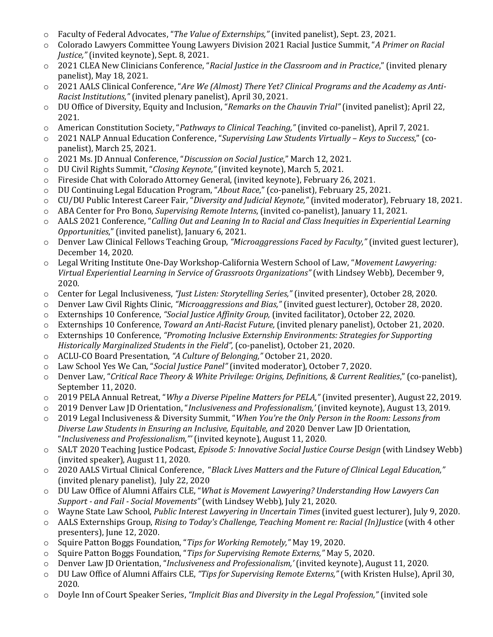- o Faculty of Federal Advocates, "*The Value of Externships,"* (invited panelist), Sept. 23, 2021.
- o Colorado Lawyers Committee Young Lawyers Division 2021 Racial Justice Summit, "*A Primer on Racial Justice,"* (invited keynote), Sept. 8, 2021.
- o 2021 CLEA New Clinicians Conference, "*Racial Justice in the Classroom and in Practice*," (invited plenary panelist), May 18, 2021.
- o 2021 AALS Clinical Conference, "*Are We (Almost) There Yet? Clinical Programs and the Academy as Anti-Racist Institutions,"* (invited plenary panelist), April 30, 2021.
- o DU Office of Diversity, Equity and Inclusion, "*Remarks on the Chauvin Trial"* (invited panelist); April 22, 2021.
- o American Constitution Society, "*Pathways to Clinical Teaching,"* (invited co-panelist), April 7, 2021.
- o 2021 NALP Annual Education Conference, "*Supervising Law Students Virtually – Keys to Success,*" (copanelist), March 25, 2021.
- o 2021 Ms. JD Annual Conference, "*Discussion on Social Justice*," March 12, 2021.
- o DU Civil Rights Summit, "*Closing Keynote,"* (invited keynote), March 5, 2021.
- o Fireside Chat with Colorado Attorney General, (invited keynote), February 26, 2021.
- o DU Continuing Legal Education Program, "*About Race*," (co-panelist), February 25, 2021.
- o CU/DU Public Interest Career Fair, "*Diversity and Judicial Keynote,"* (invited moderator), February 18, 2021.
- o ABA Center for Pro Bono, *Supervising Remote Interns*, (invited co-panelist), January 11, 2021.
- o AALS 2021 Conference, "*Calling Out and Leaning In to Racial and Class Inequities in Experiential Learning Opportunities*," (invited panelist), January 6, 2021.
- o Denver Law Clinical Fellows Teaching Group, *"Microaggressions Faced by Faculty,"* (invited guest lecturer), December 14, 2020.
- o Legal Writing Institute One-Day Workshop-California Western School of Law, "*Movement Lawyering: Virtual Experiential Learning in Service of Grassroots Organizations"* (with Lindsey Webb)*,* December 9, 2020.
- o Center for Legal Inclusiveness, *"Just Listen: Storytelling Series,"* (invited presenter), October 28, 2020.
- o Denver Law Civil Rights Clinic, *"Microaggressions and Bias,"* (invited guest lecturer), October 28, 2020.
- o Externships 10 Conference, *"Social Justice Affinity Group,* (invited facilitator), October 22, 2020.
- o Externships 10 Conference, *Toward an Anti-Racist Future,* (invited plenary panelist), October 21, 2020.
- o Externships 10 Conference, *"Promoting Inclusive Externship Environments: Strategies for Supporting Historically Marginalized Students in the Field",* (co-panelist), October 21, 2020.
- o ACLU-CO Board Presentation, *"A Culture of Belonging,"* October 21, 2020.
- o Law School Yes We Can, "*Social Justice Panel"* (invited moderator), October 7, 2020.
- o Denver Law, "*Critical Race Theory & White Privilege: Origins, Definitions, & Current Realities*," (co-panelist), September 11, 2020.
- o 2019 PELA Annual Retreat, "*Why a Diverse Pipeline Matters for PELA,"* (invited presenter), August 22, 2019.
- o 2019 Denver Law JD Orientation, "*Inclusiveness and Professionalism,'* (invited keynote), August 13, 2019.
- o 2019 Legal Inclusiveness & Diversity Summit, "*When You're the Only Person in the Room: Lessons from Diverse Law Students in Ensuring an Inclusive, Equitable, and* 2020 Denver Law JD Orientation, "*Inclusiveness and Professionalism,"'* (invited keynote), August 11, 2020.
- o SALT 2020 Teaching Justice Podcast, *Episode 5: Innovative Social Justice Course Design* (with Lindsey Webb) (invited speaker), August 11, 2020.
- o 2020 AALS Virtual Clinical Conference, "*Black Lives Matters and the Future of Clinical Legal Education,"*  (invited plenary panelist), July 22, 2020
- o DU Law Office of Alumni Affairs CLE, "*What is Movement Lawyering? Understanding How Lawyers Can Support - and Fail - Social Movements"* (with Lindsey Webb), July 21, 2020.
- o Wayne State Law School, *Public Interest Lawyering in Uncertain Times* (invited guest lecturer), July 9, 2020.
- o AALS Externships Group, *Rising to Today's Challenge, Teaching Moment re: Racial (In)Justice* (with 4 other presenters), June 12, 2020.
- o Squire Patton Boggs Foundation, "*Tips for Working Remotely,"* May 19, 2020.
- o Squire Patton Boggs Foundation, "*Tips for Supervising Remote Externs,"* May 5, 2020.
- o Denver Law JD Orientation, "*Inclusiveness and Professionalism,'* (invited keynote), August 11, 2020.
- o DU Law Office of Alumni Affairs CLE, *"Tips for Supervising Remote Externs,"* (with Kristen Hulse), April 30, 2020.
- o Doyle Inn of Court Speaker Series, *"Implicit Bias and Diversity in the Legal Profession,"* (invited sole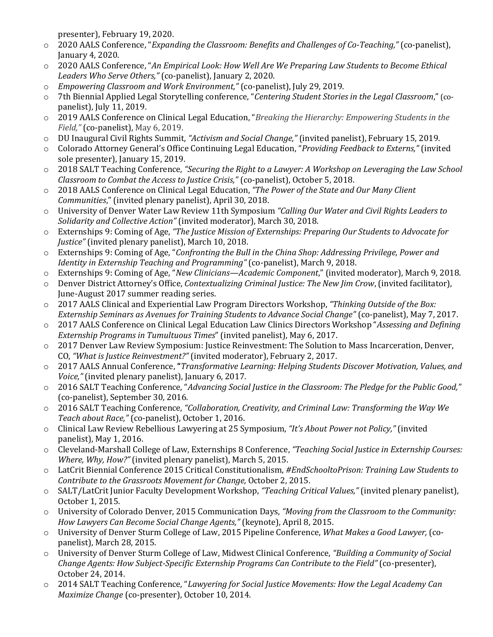presenter), February 19, 2020.

- o 2020 AALS Conference, "*Expanding the Classroom: Benefits and Challenges of Co-Teaching,"* (co-panelist), January 4, 2020.
- o 2020 AALS Conference, "*An Empirical Look: How Well Are We Preparing Law Students to Become Ethical Leaders Who Serve Others,"* (co-panelist), January 2, 2020.
- o *Empowering Classroom and Work Environment,"* (co-panelist), July 29, 2019.
- o 7th Biennial Applied Legal Storytelling conference, "*Centering Student Stories in the Legal Classroom*," (copanelist), July 11, 2019.
- o 2019 AALS Conference on Clinical Legal Education, "*Breaking the Hierarchy: Empowering Students in the Field,"* (co-panelist), May 6, 2019.
- o DU Inaugural Civil Rights Summit, *"Activism and Social Change,"* (invited panelist), February 15, 2019.
- o Colorado Attorney General's Office Continuing Legal Education, "*Providing Feedback to Externs,"* (invited sole presenter), January 15, 2019.
- o 2018 SALT Teaching Conference, *"Securing the Right to a Lawyer: A Workshop on Leveraging the Law School Classroom to Combat the Access to Justice Crisis,"* (co-panelist), October 5, 2018.
- 2018 AALS Conference on Clinical Legal Education, "The Power of the State and Our Many Client *Communities*," (invited plenary panelist), April 30, 2018.
- o University of Denver Water Law Review 11th Symposium *"Calling Our Water and Civil Rights Leaders to Solidarity and Collective Action"* (invited moderator), March 30, 2018.
- o Externships 9: Coming of Age, *"The Justice Mission of Externships: Preparing Our Students to Advocate for Justice"* (invited plenary panelist), March 10, 2018.
- o Externships 9: Coming of Age, "*Confronting the Bull in the China Shop: Addressing Privilege, Power and Identity in Externship Teaching and Programming"* (co-panelist), March 9, 2018.
- o Externships 9: Coming of Age, "*New Clinicians—Academic Component*," (invited moderator), March 9, 2018.
- o Denver District Attorney's Office, *Contextualizing Criminal Justice: The New Jim Crow*, (invited facilitator), June-August 2017 summer reading series.
- o 2017 AALS Clinical and Experiential Law Program Directors Workshop, *"Thinking Outside of the Box: Externship Seminars as Avenues for Training Students to Advance Social Change"* (co-panelist), May 7, 2017.
- o 2017 AALS Conference on Clinical Legal Education Law Clinics Directors Workshop "*Assessing and Defining Externship Programs in Tumultuous Times*" (invited panelist), May 6, 2017.
- o 2017 Denver Law Review Symposium: Justice Reinvestment: The Solution to Mass Incarceration, Denver, CO, *"What is Justice Reinvestment?"* (invited moderator), February 2, 2017.
- o 2017 AALS Annual Conference, **"***Transformative Learning: Helping Students Discover Motivation, Values, and Voice,"* (invited plenary panelist), January 6, 2017.
- o 2016 SALT Teaching Conference, "*Advancing Social Justice in the Classroom: The Pledge for the Public Good,"* (co-panelist), September 30, 2016.
- o 2016 SALT Teaching Conference, *"Collaboration, Creativity, and Criminal Law: Transforming the Way We Teach about Race,"* (co-panelist), October 1, 2016.
- o Clinical Law Review Rebellious Lawyering at 25 Symposium, *"It's About Power not Policy,"* (invited panelist), May 1, 2016.
- o Cleveland-Marshall College of Law, Externships 8 Conference, *"Teaching Social Justice in Externship Courses: Where, Why, How?"* (invited plenary panelist), March 5, 2015.
- o LatCrit Biennial Conference 2015 Critical Constitutionalism, *#EndSchooltoPrison: Training Law Students to Contribute to the Grassroots Movement for Change,* October 2, 2015.
- o SALT/LatCrit Junior Faculty Development Workshop, *"Teaching Critical Values,"* (invited plenary panelist), October 1, 2015.
- o University of Colorado Denver, 2015 Communication Days, *"Moving from the Classroom to the Community: How Lawyers Can Become Social Change Agents,"* (keynote), April 8, 2015.
- o University of Denver Sturm College of Law, 2015 Pipeline Conference, *What Makes a Good Lawyer,* (copanelist), March 28, 2015.
- o University of Denver Sturm College of Law, Midwest Clinical Conference, *"Building a Community of Social Change Agents: How Subject-Specific Externship Programs Can Contribute to the Field"* (co-presenter), October 24, 2014.
- o 2014 SALT Teaching Conference, "*Lawyering for Social Justice Movements: How the Legal Academy Can Maximize Change* (co-presenter), October 10, 2014.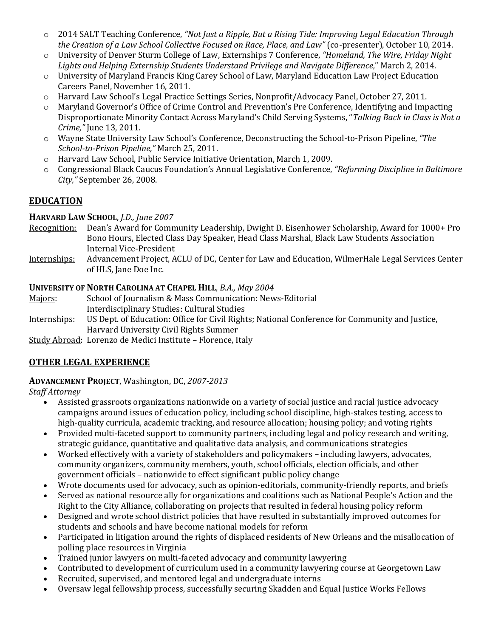- o 2014 SALT Teaching Conference, *"Not Just a Ripple, But a Rising Tide: Improving Legal Education Through the Creation of a Law School Collective Focused on Race, Place, and Law"* (co-presenter), October 10, 2014.
- o University of Denver Sturm College of Law, Externships 7 Conference, *"Homeland, The Wire, Friday Night Lights and Helping Externship Students Understand Privilege and Navigate Difference,*" March 2, 2014.
- o University of Maryland Francis King Carey School of Law, Maryland Education Law Project Education Careers Panel, November 16, 2011.
- o Harvard Law School's Legal Practice Settings Series, Nonprofit/Advocacy Panel, October 27, 2011.
- o Maryland Governor's Office of Crime Control and Prevention's Pre Conference, Identifying and Impacting Disproportionate Minority Contact Across Maryland's Child Serving Systems, "*Talking Back in Class is Not a Crime,"* June 13, 2011.
- o Wayne State University Law School's Conference, Deconstructing the School-to-Prison Pipeline, *"The School-to-Prison Pipeline,"* March 25, 2011.
- o Harvard Law School, Public Service Initiative Orientation, March 1, 2009.
- o Congressional Black Caucus Foundation's Annual Legislative Conference, *"Reforming Discipline in Baltimore City,"* September 26, 2008.

## **EDUCATION**

### **HARVARD LAW SCHOOL**, *J.D., June 2007*

- Recognition: Dean's Award for Community Leadership, Dwight D. Eisenhower Scholarship, Award for 1000+ Pro Bono Hours, Elected Class Day Speaker, Head Class Marshal, Black Law Students Association Internal Vice-President
- Internships: Advancement Project, ACLU of DC, Center for Law and Education, WilmerHale Legal Services Center of HLS, Jane Doe Inc.

### **UNIVERSITY OF NORTH CAROLINA AT CHAPEL HILL**, *B.A., May 2004*

- Majors: School of Journalism & Mass Communication: News-Editorial Interdisciplinary Studies: Cultural Studies
- Internships: US Dept. of Education: Office for Civil Rights; National Conference for Community and Justice, Harvard University Civil Rights Summer
- Study Abroad: Lorenzo de Medici Institute Florence, Italy

# **OTHER LEGAL EXPERIENCE**

### **ADVANCEMENT PROJECT**, Washington, DC, *2007-2013*

*Staff Attorney*

- Assisted grassroots organizations nationwide on a variety of social justice and racial justice advocacy campaigns around issues of education policy, including school discipline, high-stakes testing, access to high-quality curricula, academic tracking, and resource allocation; housing policy; and voting rights
- Provided multi-faceted support to community partners, including legal and policy research and writing, strategic guidance, quantitative and qualitative data analysis, and communications strategies
- Worked effectively with a variety of stakeholders and policymakers including lawyers, advocates, community organizers, community members, youth, school officials, election officials, and other government officials – nationwide to effect significant public policy change
- Wrote documents used for advocacy, such as opinion-editorials, community-friendly reports, and briefs
- Served as national resource ally for organizations and coalitions such as National People's Action and the Right to the City Alliance, collaborating on projects that resulted in federal housing policy reform
- Designed and wrote school district policies that have resulted in substantially improved outcomes for students and schools and have become national models for reform
- Participated in litigation around the rights of displaced residents of New Orleans and the misallocation of polling place resources in Virginia
- Trained junior lawyers on multi-faceted advocacy and community lawyering
- Contributed to development of curriculum used in a community lawyering course at Georgetown Law
- Recruited, supervised, and mentored legal and undergraduate interns
- Oversaw legal fellowship process, successfully securing Skadden and Equal Justice Works Fellows